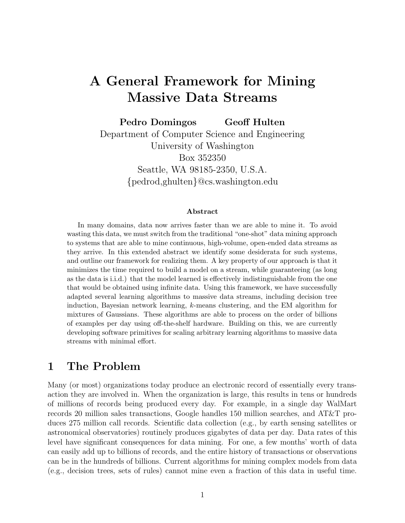# A General Framework for Mining Massive Data Streams

Pedro Domingos Geoff Hulten

Department of Computer Science and Engineering University of Washington Box 352350 Seattle, WA 98185-2350, U.S.A. {pedrod,ghulten}@cs.washington.edu

#### Abstract

In many domains, data now arrives faster than we are able to mine it. To avoid wasting this data, we must switch from the traditional "one-shot" data mining approach to systems that are able to mine continuous, high-volume, open-ended data streams as they arrive. In this extended abstract we identify some desiderata for such systems, and outline our framework for realizing them. A key property of our approach is that it minimizes the time required to build a model on a stream, while guaranteeing (as long as the data is i.i.d.) that the model learned is effectively indistinguishable from the one that would be obtained using infinite data. Using this framework, we have successfully adapted several learning algorithms to massive data streams, including decision tree induction, Bayesian network learning, k-means clustering, and the EM algorithm for mixtures of Gaussians. These algorithms are able to process on the order of billions of examples per day using off-the-shelf hardware. Building on this, we are currently developing software primitives for scaling arbitrary learning algorithms to massive data streams with minimal effort.

#### 1 The Problem

Many (or most) organizations today produce an electronic record of essentially every transaction they are involved in. When the organization is large, this results in tens or hundreds of millions of records being produced every day. For example, in a single day WalMart records 20 million sales transactions, Google handles 150 million searches, and AT&T produces 275 million call records. Scientific data collection (e.g., by earth sensing satellites or astronomical observatories) routinely produces gigabytes of data per day. Data rates of this level have significant consequences for data mining. For one, a few months' worth of data can easily add up to billions of records, and the entire history of transactions or observations can be in the hundreds of billions. Current algorithms for mining complex models from data (e.g., decision trees, sets of rules) cannot mine even a fraction of this data in useful time.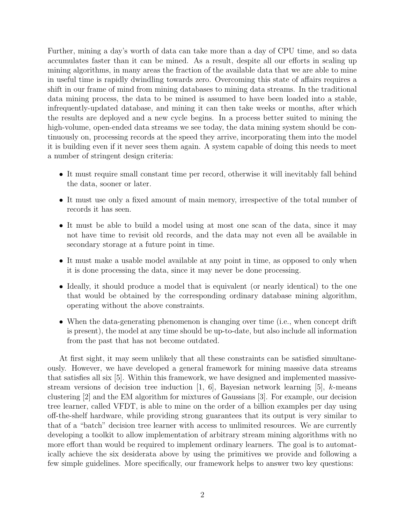Further, mining a day's worth of data can take more than a day of CPU time, and so data accumulates faster than it can be mined. As a result, despite all our efforts in scaling up mining algorithms, in many areas the fraction of the available data that we are able to mine in useful time is rapidly dwindling towards zero. Overcoming this state of affairs requires a shift in our frame of mind from mining databases to mining data streams. In the traditional data mining process, the data to be mined is assumed to have been loaded into a stable, infrequently-updated database, and mining it can then take weeks or months, after which the results are deployed and a new cycle begins. In a process better suited to mining the high-volume, open-ended data streams we see today, the data mining system should be continuously on, processing records at the speed they arrive, incorporating them into the model it is building even if it never sees them again. A system capable of doing this needs to meet a number of stringent design criteria:

- It must require small constant time per record, otherwise it will inevitably fall behind the data, sooner or later.
- It must use only a fixed amount of main memory, irrespective of the total number of records it has seen.
- It must be able to build a model using at most one scan of the data, since it may not have time to revisit old records, and the data may not even all be available in secondary storage at a future point in time.
- It must make a usable model available at any point in time, as opposed to only when it is done processing the data, since it may never be done processing.
- Ideally, it should produce a model that is equivalent (or nearly identical) to the one that would be obtained by the corresponding ordinary database mining algorithm, operating without the above constraints.
- When the data-generating phenomenon is changing over time (i.e., when concept drift is present), the model at any time should be up-to-date, but also include all information from the past that has not become outdated.

At first sight, it may seem unlikely that all these constraints can be satisfied simultaneously. However, we have developed a general framework for mining massive data streams that satisfies all six [5]. Within this framework, we have designed and implemented massivestream versions of decision tree induction  $[1, 6]$ , Bayesian network learning  $[5]$ , k-means clustering [2] and the EM algorithm for mixtures of Gaussians [3]. For example, our decision tree learner, called VFDT, is able to mine on the order of a billion examples per day using off-the-shelf hardware, while providing strong guarantees that its output is very similar to that of a "batch" decision tree learner with access to unlimited resources. We are currently developing a toolkit to allow implementation of arbitrary stream mining algorithms with no more effort than would be required to implement ordinary learners. The goal is to automatically achieve the six desiderata above by using the primitives we provide and following a few simple guidelines. More specifically, our framework helps to answer two key questions: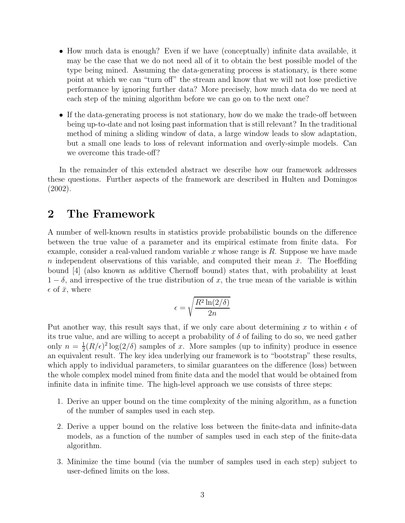- How much data is enough? Even if we have (conceptually) infinite data available, it may be the case that we do not need all of it to obtain the best possible model of the type being mined. Assuming the data-generating process is stationary, is there some point at which we can "turn off" the stream and know that we will not lose predictive performance by ignoring further data? More precisely, how much data do we need at each step of the mining algorithm before we can go on to the next one?
- If the data-generating process is not stationary, how do we make the trade-off between being up-to-date and not losing past information that is still relevant? In the traditional method of mining a sliding window of data, a large window leads to slow adaptation, but a small one leads to loss of relevant information and overly-simple models. Can we overcome this trade-off?

In the remainder of this extended abstract we describe how our framework addresses these questions. Further aspects of the framework are described in Hulten and Domingos (2002).

#### 2 The Framework

A number of well-known results in statistics provide probabilistic bounds on the difference between the true value of a parameter and its empirical estimate from finite data. For example, consider a real-valued random variable x whose range is  $R$ . Suppose we have made n independent observations of this variable, and computed their mean  $\bar{x}$ . The Hoeffding bound [4] (also known as additive Chernoff bound) states that, with probability at least  $1 - \delta$ , and irrespective of the true distribution of x, the true mean of the variable is within  $\epsilon$  of  $\bar{x}$ , where

$$
\epsilon = \sqrt{\frac{R^2 \ln(2/\delta)}{2n}}
$$

Put another way, this result says that, if we only care about determining x to within  $\epsilon$  of its true value, and are willing to accept a probability of  $\delta$  of failing to do so, we need gather only  $n=\frac{1}{2}$  $\frac{1}{2}(R/\epsilon)^2 \log(2/\delta)$  samples of x. More samples (up to infinity) produce in essence an equivalent result. The key idea underlying our framework is to "bootstrap" these results, which apply to individual parameters, to similar guarantees on the difference (loss) between the whole complex model mined from finite data and the model that would be obtained from infinite data in infinite time. The high-level approach we use consists of three steps:

- 1. Derive an upper bound on the time complexity of the mining algorithm, as a function of the number of samples used in each step.
- 2. Derive a upper bound on the relative loss between the finite-data and infinite-data models, as a function of the number of samples used in each step of the finite-data algorithm.
- 3. Minimize the time bound (via the number of samples used in each step) subject to user-defined limits on the loss.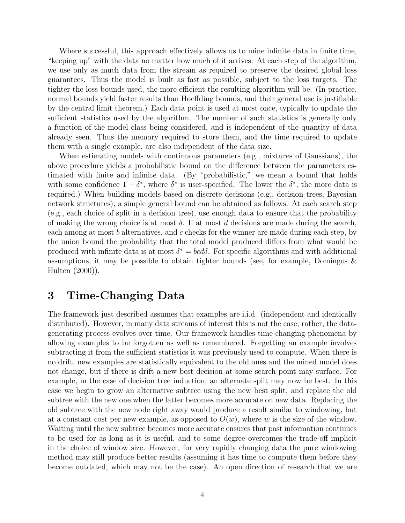Where successful, this approach effectively allows us to mine infinite data in finite time, "keeping up" with the data no matter how much of it arrives. At each step of the algorithm, we use only as much data from the stream as required to preserve the desired global loss guarantees. Thus the model is built as fast as possible, subject to the loss targets. The tighter the loss bounds used, the more efficient the resulting algorithm will be. (In practice, normal bounds yield faster results than Hoeffding bounds, and their general use is justifiable by the central limit theorem.) Each data point is used at most once, typically to update the sufficient statistics used by the algorithm. The number of such statistics is generally only a function of the model class being considered, and is independent of the quantity of data already seen. Thus the memory required to store them, and the time required to update them with a single example, are also independent of the data size.

When estimating models with continuous parameters (e.g., mixtures of Gaussians), the above procedure yields a probabilistic bound on the difference between the parameters estimated with finite and infinite data. (By "probabilistic," we mean a bound that holds with some confidence  $1 - \delta^*$ , where  $\delta^*$  is user-specified. The lower the  $\delta^*$ , the more data is required.) When building models based on discrete decisions (e.g., decision trees, Bayesian network structures), a simple general bound can be obtained as follows. At each search step (e.g., each choice of split in a decision tree), use enough data to ensure that the probability of making the wrong choice is at most  $\delta$ . If at most d decisions are made during the search, each among at most  $b$  alternatives, and  $c$  checks for the winner are made during each step, by the union bound the probability that the total model produced differs from what would be produced with infinite data is at most  $\delta^* = bcd\delta$ . For specific algorithms and with additional assumptions, it may be possible to obtain tighter bounds (see, for example, Domingos  $\&$ Hulten (2000)).

### 3 Time-Changing Data

The framework just described assumes that examples are i.i.d. (independent and identically distributed). However, in many data streams of interest this is not the case; rather, the datagenerating process evolves over time. Our framework handles time-changing phenomena by allowing examples to be forgotten as well as remembered. Forgetting an example involves subtracting it from the sufficient statistics it was previously used to compute. When there is no drift, new examples are statistically equivalent to the old ones and the mined model does not change, but if there is drift a new best decision at some search point may surface. For example, in the case of decision tree induction, an alternate split may now be best. In this case we begin to grow an alternative subtree using the new best split, and replace the old subtree with the new one when the latter becomes more accurate on new data. Replacing the old subtree with the new node right away would produce a result similar to windowing, but at a constant cost per new example, as opposed to  $O(w)$ , where w is the size of the window. Waiting until the new subtree becomes more accurate ensures that past information continues to be used for as long as it is useful, and to some degree overcomes the trade-off implicit in the choice of window size. However, for very rapidly changing data the pure windowing method may still produce better results (assuming it has time to compute them before they become outdated, which may not be the case). An open direction of research that we are